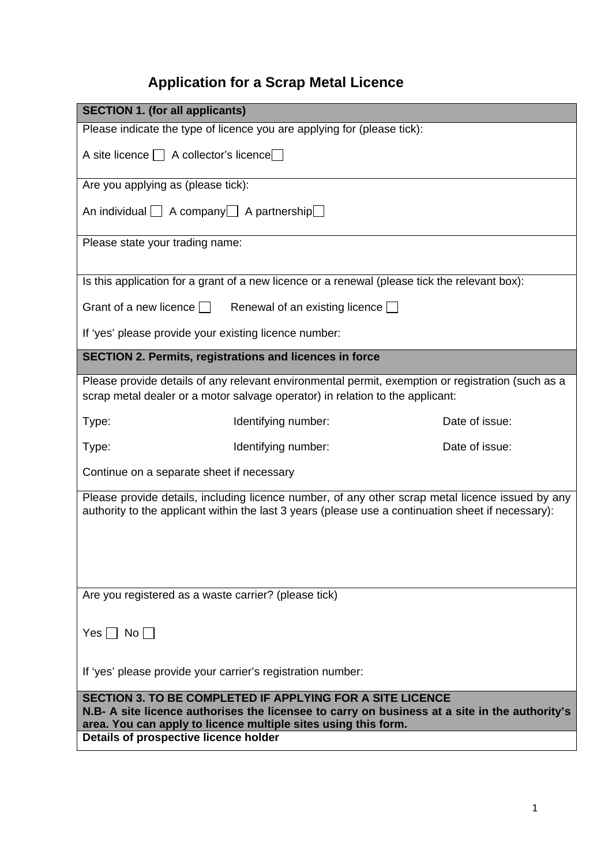# **Application for a Scrap Metal Licence**

| <b>SECTION 1. (for all applicants)</b>                                                                                                                                                                                                                                       |                |  |  |
|------------------------------------------------------------------------------------------------------------------------------------------------------------------------------------------------------------------------------------------------------------------------------|----------------|--|--|
| Please indicate the type of licence you are applying for (please tick):                                                                                                                                                                                                      |                |  |  |
| A site licence     A collector's licence                                                                                                                                                                                                                                     |                |  |  |
| Are you applying as (please tick):                                                                                                                                                                                                                                           |                |  |  |
| An individual   A company   A partnership                                                                                                                                                                                                                                    |                |  |  |
| Please state your trading name:                                                                                                                                                                                                                                              |                |  |  |
| Is this application for a grant of a new licence or a renewal (please tick the relevant box):                                                                                                                                                                                |                |  |  |
| Grant of a new licence $\Box$ Renewal of an existing licence $\Box$                                                                                                                                                                                                          |                |  |  |
| If 'yes' please provide your existing licence number:                                                                                                                                                                                                                        |                |  |  |
| <b>SECTION 2. Permits, registrations and licences in force</b>                                                                                                                                                                                                               |                |  |  |
| Please provide details of any relevant environmental permit, exemption or registration (such as a<br>scrap metal dealer or a motor salvage operator) in relation to the applicant:                                                                                           |                |  |  |
| Identifying number:<br>Type:                                                                                                                                                                                                                                                 | Date of issue: |  |  |
| Identifying number:<br>Type:                                                                                                                                                                                                                                                 | Date of issue: |  |  |
| Continue on a separate sheet if necessary                                                                                                                                                                                                                                    |                |  |  |
| Please provide details, including licence number, of any other scrap metal licence issued by any<br>authority to the applicant within the last 3 years (please use a continuation sheet if necessary):                                                                       |                |  |  |
| Are you registered as a waste carrier? (please tick)                                                                                                                                                                                                                         |                |  |  |
| $Yes \Box No \Box$                                                                                                                                                                                                                                                           |                |  |  |
| If 'yes' please provide your carrier's registration number:                                                                                                                                                                                                                  |                |  |  |
| <b>SECTION 3. TO BE COMPLETED IF APPLYING FOR A SITE LICENCE</b><br>N.B- A site licence authorises the licensee to carry on business at a site in the authority's<br>area. You can apply to licence multiple sites using this form.<br>Details of prospective licence holder |                |  |  |
|                                                                                                                                                                                                                                                                              |                |  |  |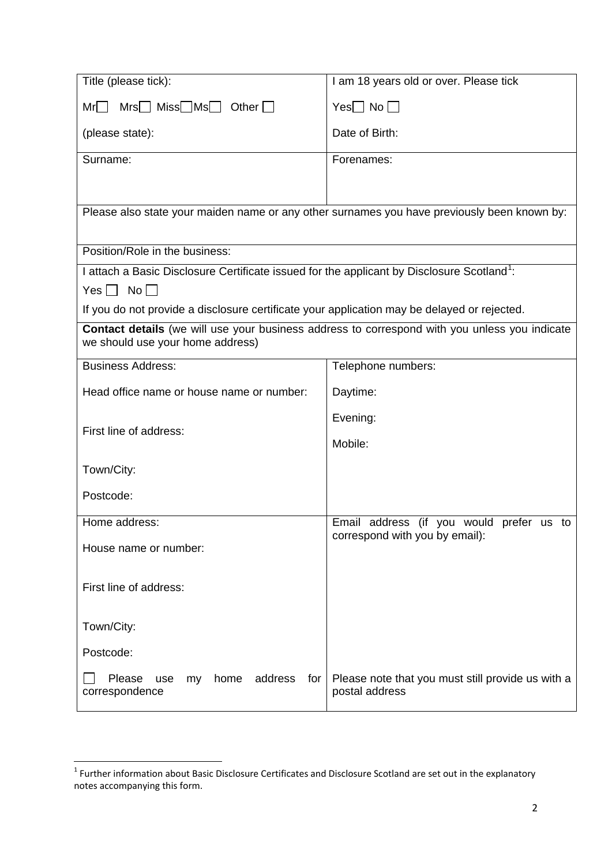| Title (please tick):                                                                                   | I am 18 years old or over. Please tick                                                               |
|--------------------------------------------------------------------------------------------------------|------------------------------------------------------------------------------------------------------|
| $Mrs$ Miss $Mss$ Other $\Box$<br>Mr                                                                    | $Yes \Box No \Box$                                                                                   |
| (please state):                                                                                        | Date of Birth:                                                                                       |
| Surname:                                                                                               | Forenames:                                                                                           |
|                                                                                                        |                                                                                                      |
| Please also state your maiden name or any other surnames you have previously been known by:            |                                                                                                      |
| Position/Role in the business:                                                                         |                                                                                                      |
| I attach a Basic Disclosure Certificate issued for the applicant by Disclosure Scotland <sup>1</sup> : |                                                                                                      |
| $Yes \Box No \Box$                                                                                     |                                                                                                      |
| If you do not provide a disclosure certificate your application may be delayed or rejected.            |                                                                                                      |
| we should use your home address)                                                                       | <b>Contact details</b> (we will use your business address to correspond with you unless you indicate |
| <b>Business Address:</b>                                                                               | Telephone numbers:                                                                                   |
| Head office name or house name or number:                                                              | Daytime:                                                                                             |
|                                                                                                        | Evening:                                                                                             |
| First line of address:                                                                                 | Mobile:                                                                                              |
| Town/City:                                                                                             |                                                                                                      |
| Postcode:                                                                                              |                                                                                                      |
| Home address:                                                                                          | Email address (if you would prefer us to                                                             |
| House name or number:                                                                                  | correspond with you by email):                                                                       |
| First line of address:                                                                                 |                                                                                                      |
| Town/City:                                                                                             |                                                                                                      |
| Postcode:                                                                                              |                                                                                                      |
| Please<br>home<br>address<br>for<br>use<br>my<br>correspondence                                        | Please note that you must still provide us with a<br>postal address                                  |

<span id="page-1-0"></span> $1$  Further information about Basic Disclosure Certificates and Disclosure Scotland are set out in the explanatory notes accompanying this form.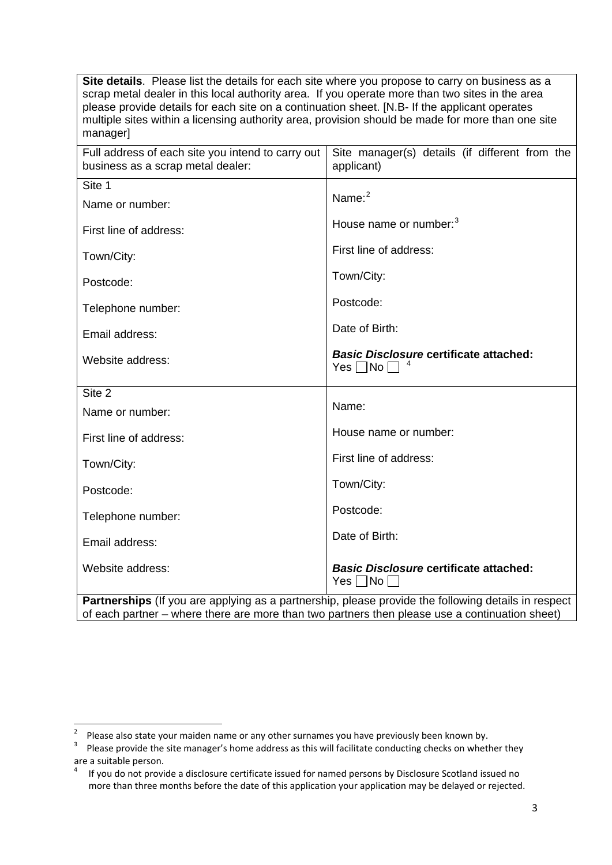**Site details**. Please list the details for each site where you propose to carry on business as a scrap metal dealer in this local authority area. If you operate more than two sites in the area please provide details for each site on a continuation sheet. [N.B- If the applicant operates multiple sites within a licensing authority area, provision should be made for more than one site manager]

| Full address of each site you intend to carry out<br>business as a scrap metal dealer:                    | Site manager(s) details (if different from the<br>applicant)          |  |
|-----------------------------------------------------------------------------------------------------------|-----------------------------------------------------------------------|--|
| Site 1                                                                                                    |                                                                       |  |
| Name or number:                                                                                           | Name: $2$                                                             |  |
| First line of address:                                                                                    | House name or number: <sup>3</sup>                                    |  |
| Town/City:                                                                                                | First line of address:                                                |  |
| Postcode:                                                                                                 | Town/City:                                                            |  |
| Telephone number:                                                                                         | Postcode:                                                             |  |
| Email address:                                                                                            | Date of Birth:                                                        |  |
| Website address:                                                                                          | <b>Basic Disclosure certificate attached:</b><br>Yes $\Box$ No $\Box$ |  |
| Site 2                                                                                                    |                                                                       |  |
| Name or number:                                                                                           | Name:                                                                 |  |
| First line of address:                                                                                    | House name or number:                                                 |  |
| Town/City:                                                                                                | First line of address:                                                |  |
| Postcode:                                                                                                 | Town/City:                                                            |  |
| Telephone number:                                                                                         | Postcode:                                                             |  |
| Email address:                                                                                            | Date of Birth:                                                        |  |
| Website address:                                                                                          | <b>Basic Disclosure certificate attached:</b><br>$Yes \Box No \Box$   |  |
| <b>Dartnorships</b> (If you are applying as a partnorship please provide the following details in respect |                                                                       |  |

**Partnerships** (If you are applying as a partnership, please provide the following details in respect of each partner – where there are more than two partners then please use a continuation sheet)

<span id="page-2-0"></span> $\frac{1}{2}$ Please also state your maiden name or any other surnames you have previously been known by.<br><sup>3</sup> Please provide the site manager's bome address as this will facilitate conducting sheeks on wheth

<span id="page-2-1"></span>Please provide the site manager's home address as this will facilitate conducting checks on whether they are a suitable person.

<span id="page-2-2"></span><sup>4</sup> If you do not provide a disclosure certificate issued for named persons by Disclosure Scotland issued no more than three months before the date of this application your application may be delayed or rejected.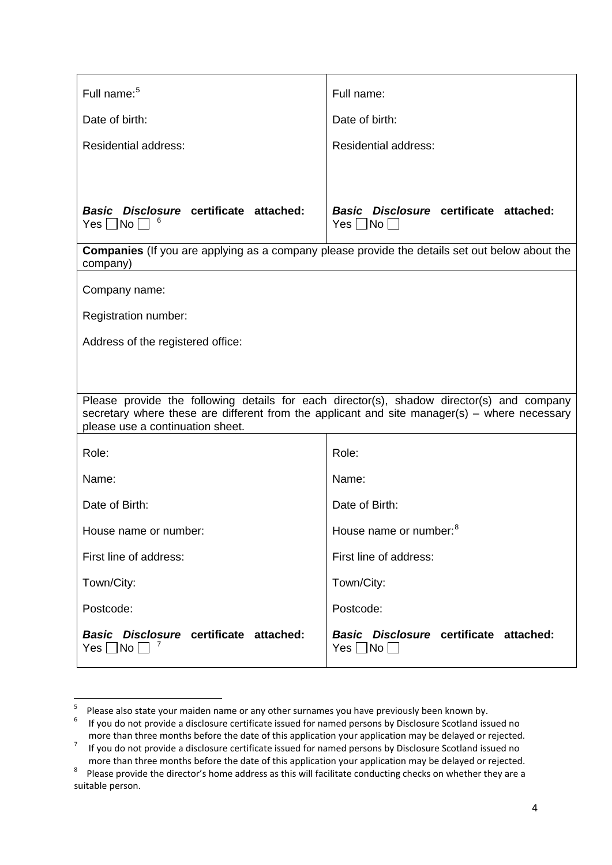| Full name: <sup>5</sup>                                                                                                                                                                                                       | Full name:                                                          |  |
|-------------------------------------------------------------------------------------------------------------------------------------------------------------------------------------------------------------------------------|---------------------------------------------------------------------|--|
| Date of birth:                                                                                                                                                                                                                | Date of birth:                                                      |  |
| <b>Residential address:</b>                                                                                                                                                                                                   | <b>Residential address:</b>                                         |  |
|                                                                                                                                                                                                                               |                                                                     |  |
| Basic Disclosure certificate attached:<br>$Yes \Box No \Box$                                                                                                                                                                  | <b>Basic Disclosure certificate attached:</b><br>$Yes \Box No \Box$ |  |
| <b>Companies</b> (If you are applying as a company please provide the details set out below about the<br>company)                                                                                                             |                                                                     |  |
| Company name:                                                                                                                                                                                                                 |                                                                     |  |
| Registration number:                                                                                                                                                                                                          |                                                                     |  |
| Address of the registered office:                                                                                                                                                                                             |                                                                     |  |
|                                                                                                                                                                                                                               |                                                                     |  |
| Please provide the following details for each director(s), shadow director(s) and company<br>secretary where these are different from the applicant and site manager(s) – where necessary<br>please use a continuation sheet. |                                                                     |  |
| Role:                                                                                                                                                                                                                         | Role:                                                               |  |
| Name:                                                                                                                                                                                                                         | Name:                                                               |  |
| Date of Birth:                                                                                                                                                                                                                | Date of Birth:                                                      |  |
| House name or number:                                                                                                                                                                                                         | House name or number: <sup>8</sup>                                  |  |
| First line of address:                                                                                                                                                                                                        | First line of address:                                              |  |
| Town/City:                                                                                                                                                                                                                    | Town/City:                                                          |  |
| Postcode:                                                                                                                                                                                                                     | Postcode:                                                           |  |
| Basic Disclosure certificate attached:<br>No<br>Yes                                                                                                                                                                           | <b>Basic Disclosure certificate attached:</b><br>$Yes \Box No \Box$ |  |

<sup>-&</sup>lt;br>5

<span id="page-3-1"></span><span id="page-3-0"></span><sup>&</sup>lt;sup>5</sup> Please also state your maiden name or any other surnames you have previously been known by.<br><sup>6</sup> If you do not provide a disclosure certificate issued for named persons by Disclosure Scotland issued no more than three months before the date of this application your application may be delayed or rejected.<br><sup>7</sup> If you do not provide a disclosure certificate issued for named persons by Disclosure Scotland issued no

<span id="page-3-3"></span><span id="page-3-2"></span>more than three months before the date of this application your application may be delayed or rejected.<br><sup>8</sup> Please provide the director's home address as this will facilitate conducting checks on whether they are a Please provide the director's home address as this will facilitate conducting checks on whether they are a suitable person.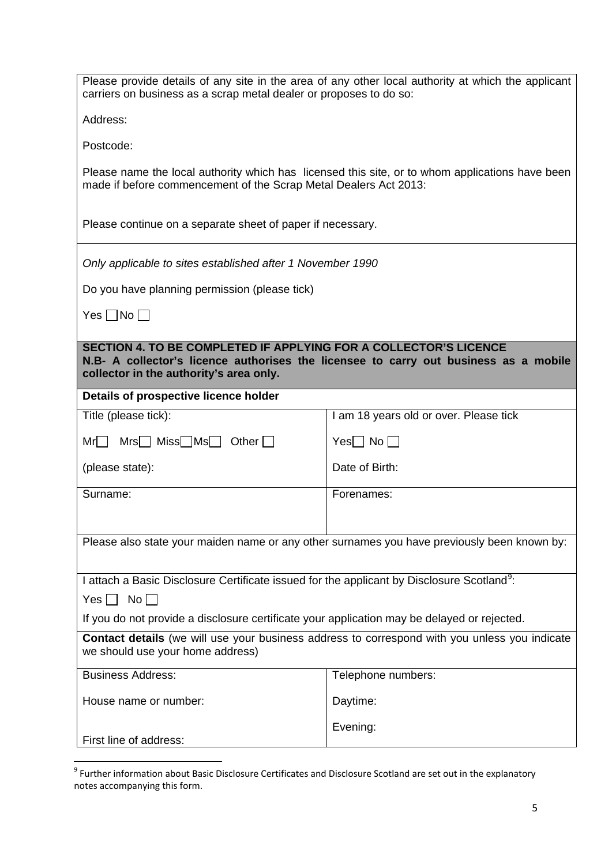| Please provide details of any site in the area of any other local authority at which the applicant<br>carriers on business as a scrap metal dealer or proposes to do so:                            |                                        |  |
|-----------------------------------------------------------------------------------------------------------------------------------------------------------------------------------------------------|----------------------------------------|--|
| Address:                                                                                                                                                                                            |                                        |  |
| Postcode:                                                                                                                                                                                           |                                        |  |
| Please name the local authority which has licensed this site, or to whom applications have been<br>made if before commencement of the Scrap Metal Dealers Act 2013:                                 |                                        |  |
| Please continue on a separate sheet of paper if necessary.                                                                                                                                          |                                        |  |
| Only applicable to sites established after 1 November 1990                                                                                                                                          |                                        |  |
| Do you have planning permission (please tick)                                                                                                                                                       |                                        |  |
| Yes $\Box$ No $\Box$                                                                                                                                                                                |                                        |  |
| SECTION 4. TO BE COMPLETED IF APPLYING FOR A COLLECTOR'S LICENCE<br>N.B- A collector's licence authorises the licensee to carry out business as a mobile<br>collector in the authority's area only. |                                        |  |
| Details of prospective licence holder                                                                                                                                                               |                                        |  |
| Title (please tick):                                                                                                                                                                                | I am 18 years old or over. Please tick |  |
| Mrs Miss Ms Other<br>Mr                                                                                                                                                                             | $Yes \Box No \Box$                     |  |
| (please state):                                                                                                                                                                                     | Date of Birth:                         |  |
| Surname:                                                                                                                                                                                            | Forenames:                             |  |
|                                                                                                                                                                                                     |                                        |  |
| Please also state your maiden name or any other surnames you have previously been known by:                                                                                                         |                                        |  |
| I attach a Basic Disclosure Certificate issued for the applicant by Disclosure Scotland <sup>9</sup> :                                                                                              |                                        |  |
| $Yes \nightharpoonup No \nightharpoonup$                                                                                                                                                            |                                        |  |
| If you do not provide a disclosure certificate your application may be delayed or rejected.                                                                                                         |                                        |  |
| <b>Contact details</b> (we will use your business address to correspond with you unless you indicate<br>we should use your home address)                                                            |                                        |  |
| <b>Business Address:</b>                                                                                                                                                                            | Telephone numbers:                     |  |
| House name or number:                                                                                                                                                                               | Daytime:                               |  |
| First line of address:                                                                                                                                                                              | Evening:                               |  |

<span id="page-4-0"></span> <sup>9</sup> Further information about Basic Disclosure Certificates and Disclosure Scotland are set out in the explanatory notes accompanying this form.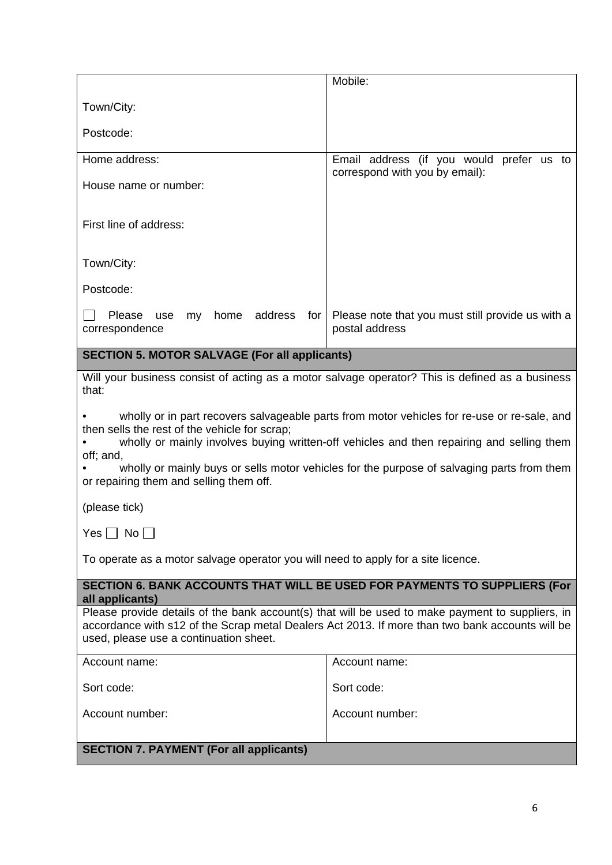|                                                                                                                                                                                                                                                                                                                                                                                                 | Mobile:                                                             |  |  |
|-------------------------------------------------------------------------------------------------------------------------------------------------------------------------------------------------------------------------------------------------------------------------------------------------------------------------------------------------------------------------------------------------|---------------------------------------------------------------------|--|--|
| Town/City:                                                                                                                                                                                                                                                                                                                                                                                      |                                                                     |  |  |
| Postcode:                                                                                                                                                                                                                                                                                                                                                                                       |                                                                     |  |  |
| Home address:                                                                                                                                                                                                                                                                                                                                                                                   | Email address (if you would prefer us to                            |  |  |
| House name or number:                                                                                                                                                                                                                                                                                                                                                                           | correspond with you by email):                                      |  |  |
| First line of address:                                                                                                                                                                                                                                                                                                                                                                          |                                                                     |  |  |
| Town/City:                                                                                                                                                                                                                                                                                                                                                                                      |                                                                     |  |  |
| Postcode:                                                                                                                                                                                                                                                                                                                                                                                       |                                                                     |  |  |
| home address<br>Please use<br>my<br>for<br>correspondence                                                                                                                                                                                                                                                                                                                                       | Please note that you must still provide us with a<br>postal address |  |  |
| <b>SECTION 5. MOTOR SALVAGE (For all applicants)</b>                                                                                                                                                                                                                                                                                                                                            |                                                                     |  |  |
| Will your business consist of acting as a motor salvage operator? This is defined as a business<br>that:                                                                                                                                                                                                                                                                                        |                                                                     |  |  |
| wholly or in part recovers salvageable parts from motor vehicles for re-use or re-sale, and<br>then sells the rest of the vehicle for scrap;<br>wholly or mainly involves buying written-off vehicles and then repairing and selling them<br>off; and,<br>wholly or mainly buys or sells motor vehicles for the purpose of salvaging parts from them<br>or repairing them and selling them off. |                                                                     |  |  |
| (please tick)                                                                                                                                                                                                                                                                                                                                                                                   |                                                                     |  |  |
| Yes $\Box$ No $\Box$                                                                                                                                                                                                                                                                                                                                                                            |                                                                     |  |  |
| To operate as a motor salvage operator you will need to apply for a site licence.                                                                                                                                                                                                                                                                                                               |                                                                     |  |  |
| SECTION 6. BANK ACCOUNTS THAT WILL BE USED FOR PAYMENTS TO SUPPLIERS (For<br>all applicants)                                                                                                                                                                                                                                                                                                    |                                                                     |  |  |
| Please provide details of the bank account(s) that will be used to make payment to suppliers, in<br>accordance with s12 of the Scrap metal Dealers Act 2013. If more than two bank accounts will be<br>used, please use a continuation sheet.                                                                                                                                                   |                                                                     |  |  |
| Account name:                                                                                                                                                                                                                                                                                                                                                                                   | Account name:                                                       |  |  |
| Sort code:                                                                                                                                                                                                                                                                                                                                                                                      | Sort code:                                                          |  |  |
| Account number:                                                                                                                                                                                                                                                                                                                                                                                 | Account number:                                                     |  |  |
| <b>SECTION 7. PAYMENT (For all applicants)</b>                                                                                                                                                                                                                                                                                                                                                  |                                                                     |  |  |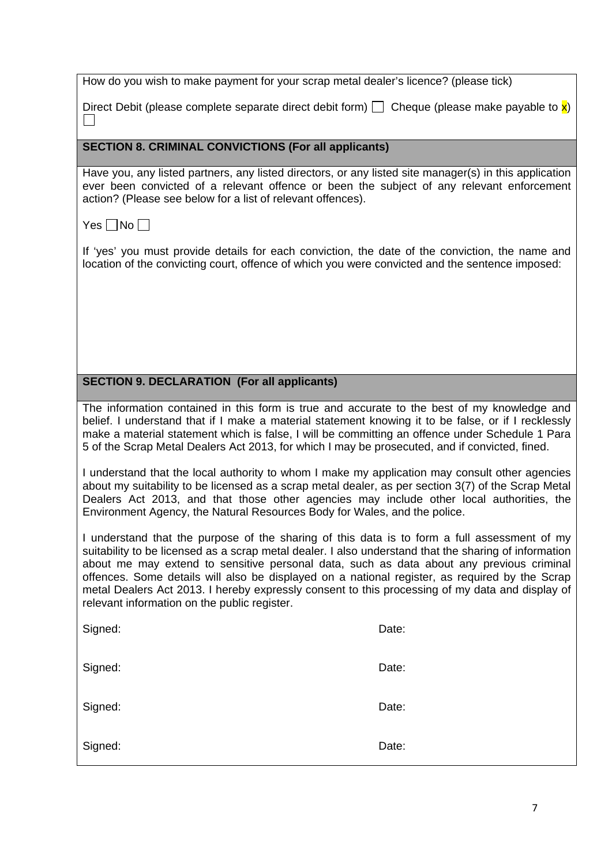Direct Debit (please complete separate direct debit form)  $\Box$  Cheque (please make payable to  $\mathbf{x}$ )  $\Box$ 

**SECTION 8. CRIMINAL CONVICTIONS (For all applicants)**

Have you, any listed partners, any listed directors, or any listed site manager(s) in this application ever been convicted of a relevant offence or been the subject of any relevant enforcement action? (Please see below for a list of relevant offences).

Yes  $\neg$  No  $\neg$ 

If 'yes' you must provide details for each conviction, the date of the conviction, the name and location of the convicting court, offence of which you were convicted and the sentence imposed:

# **SECTION 9. DECLARATION (For all applicants)**

The information contained in this form is true and accurate to the best of my knowledge and belief. I understand that if I make a material statement knowing it to be false, or if I recklessly make a material statement which is false, I will be committing an offence under Schedule 1 Para 5 of the Scrap Metal Dealers Act 2013, for which I may be prosecuted, and if convicted, fined.

I understand that the local authority to whom I make my application may consult other agencies about my suitability to be licensed as a scrap metal dealer, as per section 3(7) of the Scrap Metal Dealers Act 2013, and that those other agencies may include other local authorities, the Environment Agency, the Natural Resources Body for Wales, and the police.

I understand that the purpose of the sharing of this data is to form a full assessment of my suitability to be licensed as a scrap metal dealer. I also understand that the sharing of information about me may extend to sensitive personal data, such as data about any previous criminal offences. Some details will also be displayed on a national register, as required by the Scrap metal Dealers Act 2013. I hereby expressly consent to this processing of my data and display of relevant information on the public register.

| Signed: | Date: |
|---------|-------|
| Signed: | Date: |
| Signed: | Date: |
| Signed: | Date: |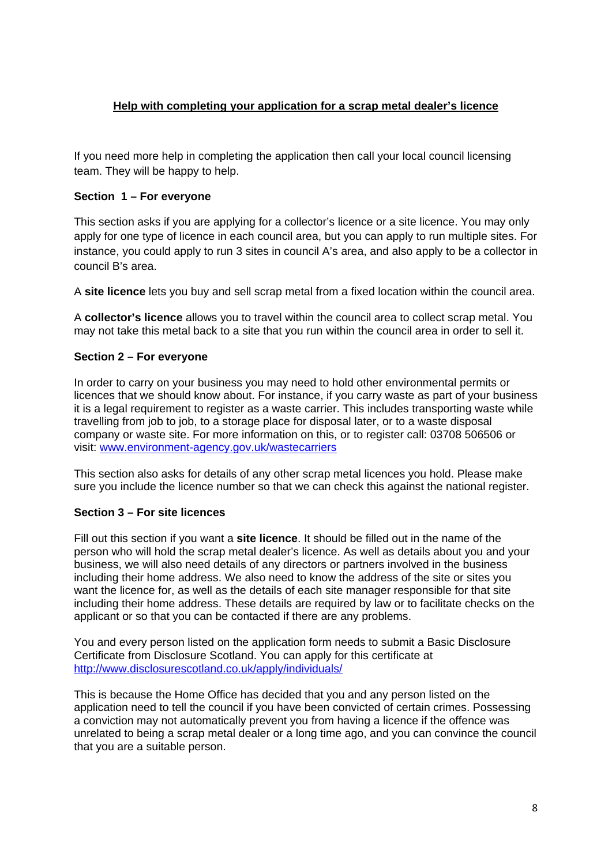# **Help with completing your application for a scrap metal dealer's licence**

If you need more help in completing the application then call your local council licensing team. They will be happy to help.

# **Section 1 – For everyone**

This section asks if you are applying for a collector's licence or a site licence. You may only apply for one type of licence in each council area, but you can apply to run multiple sites. For instance, you could apply to run 3 sites in council A's area, and also apply to be a collector in council B's area.

A **site licence** lets you buy and sell scrap metal from a fixed location within the council area.

A **collector's licence** allows you to travel within the council area to collect scrap metal. You may not take this metal back to a site that you run within the council area in order to sell it.

# **Section 2 – For everyone**

In order to carry on your business you may need to hold other environmental permits or licences that we should know about. For instance, if you carry waste as part of your business it is a legal requirement to register as a waste carrier. This includes transporting waste while travelling from job to job, to a storage place for disposal later, or to a waste disposal company or waste site. For more information on this, or to register call: 03708 506506 or visit: [www.environment-agency.gov.uk/wastecarriers](http://www.environment-agency.gov.uk/wastecarriers)

This section also asks for details of any other scrap metal licences you hold. Please make sure you include the licence number so that we can check this against the national register.

# **Section 3 – For site licences**

Fill out this section if you want a **site licence**. It should be filled out in the name of the person who will hold the scrap metal dealer's licence. As well as details about you and your business, we will also need details of any directors or partners involved in the business including their home address. We also need to know the address of the site or sites you want the licence for, as well as the details of each site manager responsible for that site including their home address. These details are required by law or to facilitate checks on the applicant or so that you can be contacted if there are any problems.

You and every person listed on the application form needs to submit a Basic Disclosure Certificate from Disclosure Scotland. You can apply for this certificate at <http://www.disclosurescotland.co.uk/apply/individuals/>

This is because the Home Office has decided that you and any person listed on the application need to tell the council if you have been convicted of certain crimes. Possessing a conviction may not automatically prevent you from having a licence if the offence was unrelated to being a scrap metal dealer or a long time ago, and you can convince the council that you are a suitable person.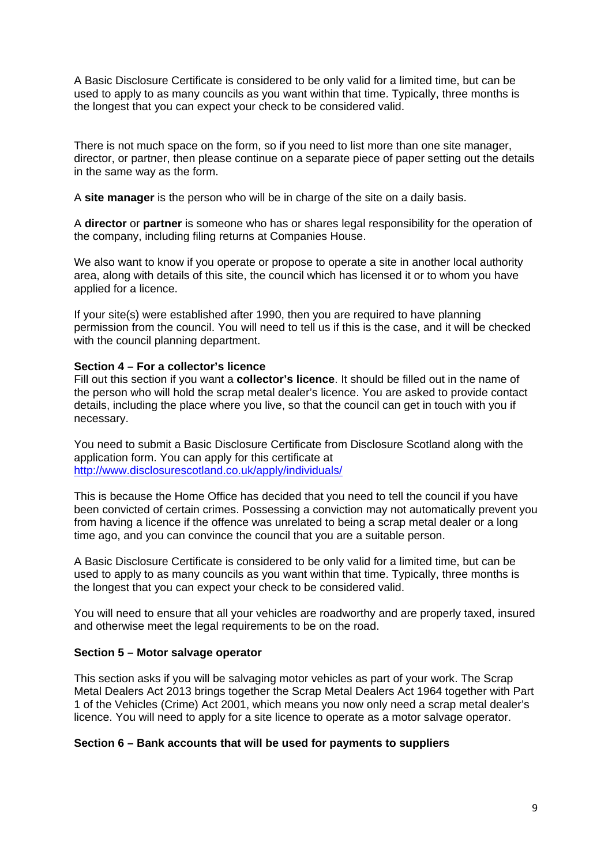A Basic Disclosure Certificate is considered to be only valid for a limited time, but can be used to apply to as many councils as you want within that time. Typically, three months is the longest that you can expect your check to be considered valid.

There is not much space on the form, so if you need to list more than one site manager, director, or partner, then please continue on a separate piece of paper setting out the details in the same way as the form.

A **site manager** is the person who will be in charge of the site on a daily basis.

A **director** or **partner** is someone who has or shares legal responsibility for the operation of the company, including filing returns at Companies House.

We also want to know if you operate or propose to operate a site in another local authority area, along with details of this site, the council which has licensed it or to whom you have applied for a licence.

If your site(s) were established after 1990, then you are required to have planning permission from the council. You will need to tell us if this is the case, and it will be checked with the council planning department.

#### **Section 4 – For a collector's licence**

Fill out this section if you want a **collector's licence**. It should be filled out in the name of the person who will hold the scrap metal dealer's licence. You are asked to provide contact details, including the place where you live, so that the council can get in touch with you if necessary.

You need to submit a Basic Disclosure Certificate from Disclosure Scotland along with the application form. You can apply for this certificate at <http://www.disclosurescotland.co.uk/apply/individuals/>

This is because the Home Office has decided that you need to tell the council if you have been convicted of certain crimes. Possessing a conviction may not automatically prevent you from having a licence if the offence was unrelated to being a scrap metal dealer or a long time ago, and you can convince the council that you are a suitable person.

A Basic Disclosure Certificate is considered to be only valid for a limited time, but can be used to apply to as many councils as you want within that time. Typically, three months is the longest that you can expect your check to be considered valid.

You will need to ensure that all your vehicles are roadworthy and are properly taxed, insured and otherwise meet the legal requirements to be on the road.

#### **Section 5 – Motor salvage operator**

This section asks if you will be salvaging motor vehicles as part of your work. The Scrap Metal Dealers Act 2013 brings together the Scrap Metal Dealers Act 1964 together with Part 1 of the Vehicles (Crime) Act 2001, which means you now only need a scrap metal dealer's licence. You will need to apply for a site licence to operate as a motor salvage operator.

#### **Section 6 – Bank accounts that will be used for payments to suppliers**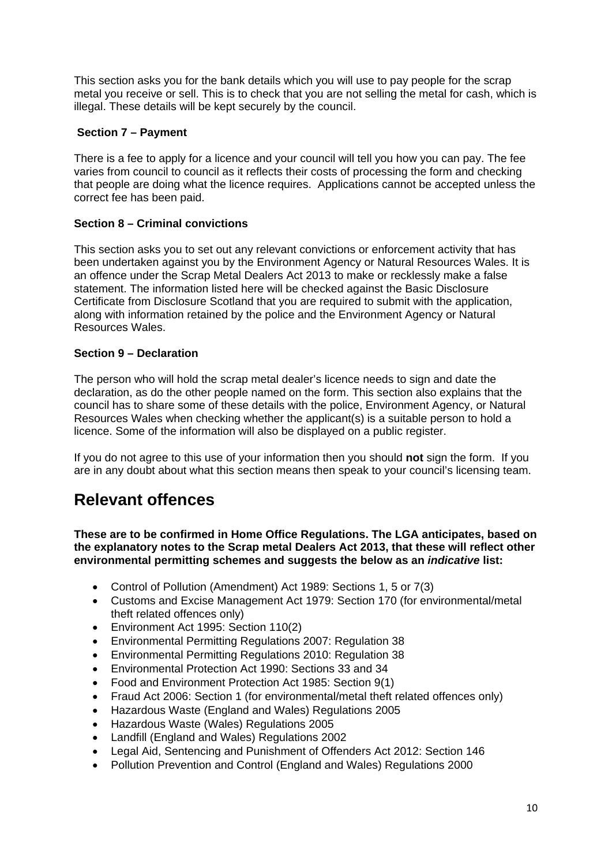This section asks you for the bank details which you will use to pay people for the scrap metal you receive or sell. This is to check that you are not selling the metal for cash, which is illegal. These details will be kept securely by the council.

# **Section 7 – Payment**

There is a fee to apply for a licence and your council will tell you how you can pay. The fee varies from council to council as it reflects their costs of processing the form and checking that people are doing what the licence requires. Applications cannot be accepted unless the correct fee has been paid.

# **Section 8 – Criminal convictions**

This section asks you to set out any relevant convictions or enforcement activity that has been undertaken against you by the Environment Agency or Natural Resources Wales. It is an offence under the Scrap Metal Dealers Act 2013 to make or recklessly make a false statement. The information listed here will be checked against the Basic Disclosure Certificate from Disclosure Scotland that you are required to submit with the application, along with information retained by the police and the Environment Agency or Natural Resources Wales.

# **Section 9 – Declaration**

The person who will hold the scrap metal dealer's licence needs to sign and date the declaration, as do the other people named on the form. This section also explains that the council has to share some of these details with the police, Environment Agency, or Natural Resources Wales when checking whether the applicant(s) is a suitable person to hold a licence. Some of the information will also be displayed on a public register.

If you do not agree to this use of your information then you should **not** sign the form. If you are in any doubt about what this section means then speak to your council's licensing team.

# **Relevant offences**

**These are to be confirmed in Home Office Regulations. The LGA anticipates, based on the explanatory notes to the Scrap metal Dealers Act 2013, that these will reflect other environmental permitting schemes and suggests the below as an** *indicative* **list:**

- Control of Pollution (Amendment) Act 1989: Sections 1, 5 or 7(3)
- Customs and Excise Management Act 1979: Section 170 (for environmental/metal theft related offences only)
- Environment Act 1995: Section 110(2)
- Environmental Permitting Regulations 2007: Regulation 38
- Environmental Permitting Regulations 2010: Regulation 38
- Environmental Protection Act 1990: Sections 33 and 34
- Food and Environment Protection Act 1985: Section 9(1)
- Fraud Act 2006: Section 1 (for environmental/metal theft related offences only)
- Hazardous Waste (England and Wales) Regulations 2005
- Hazardous Waste (Wales) Regulations 2005
- Landfill (England and Wales) Regulations 2002
- Legal Aid, Sentencing and Punishment of Offenders Act 2012: Section 146
- Pollution Prevention and Control (England and Wales) Regulations 2000